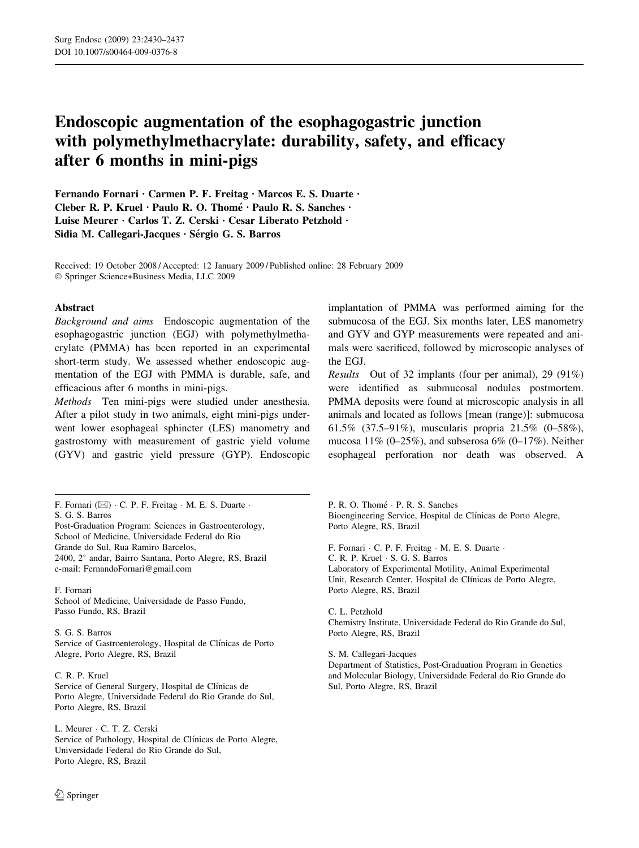# Endoscopic augmentation of the esophagogastric junction with polymethylmethacrylate: durability, safety, and efficacy after 6 months in mini-pigs

Fernando Fornari · Carmen P. F. Freitag · Marcos E. S. Duarte ·  $C$ leber R. P. Kruel · Paulo R. O. Thomé · Paulo R. S. Sanches · Luise Meurer · Carlos T. Z. Cerski · Cesar Liberato Petzhold · Sidia M. Callegari-Jacques  $\cdot$  Sérgio G. S. Barros

Received: 19 October 2008 / Accepted: 12 January 2009 / Published online: 28 February 2009 Springer Science+Business Media, LLC 2009

#### Abstract

Background and aims Endoscopic augmentation of the esophagogastric junction (EGJ) with polymethylmethacrylate (PMMA) has been reported in an experimental short-term study. We assessed whether endoscopic augmentation of the EGJ with PMMA is durable, safe, and efficacious after 6 months in mini-pigs.

Methods Ten mini-pigs were studied under anesthesia. After a pilot study in two animals, eight mini-pigs underwent lower esophageal sphincter (LES) manometry and gastrostomy with measurement of gastric yield volume (GYV) and gastric yield pressure (GYP). Endoscopic

F. Fornari  $(\boxtimes) \cdot C$ . P. F. Freitag  $\cdot$  M. E. S. Duarte  $\cdot$ S. G. S. Barros

Post-Graduation Program: Sciences in Gastroenterology, School of Medicine, Universidade Federal do Rio Grande do Sul, Rua Ramiro Barcelos, 2400, 2*8* andar, Bairro Santana, Porto Alegre, RS, Brazil e-mail: FernandoFornari@gmail.com

F. Fornari School of Medicine, Universidade de Passo Fundo, Passo Fundo, RS, Brazil

S. G. S. Barros Service of Gastroenterology, Hospital de Clínicas de Porto Alegre, Porto Alegre, RS, Brazil

C. R. P. Kruel Service of General Surgery, Hospital de Clínicas de Porto Alegre, Universidade Federal do Rio Grande do Sul, Porto Alegre, RS, Brazil

L. Meurer · C. T. Z. Cerski Service of Pathology, Hospital de Clínicas de Porto Alegre, Universidade Federal do Rio Grande do Sul, Porto Alegre, RS, Brazil

implantation of PMMA was performed aiming for the submucosa of the EGJ. Six months later, LES manometry and GYV and GYP measurements were repeated and animals were sacrificed, followed by microscopic analyses of the EGJ.

Results Out of 32 implants (four per animal), 29 (91%) were identified as submucosal nodules postmortem. PMMA deposits were found at microscopic analysis in all animals and located as follows [mean (range)]: submucosa 61.5% (37.5–91%), muscularis propria 21.5% (0–58%), mucosa 11% (0–25%), and subserosa 6% (0–17%). Neither esophageal perforation nor death was observed. A

P. R. O. Thomé · P. R. S. Sanches Bioengineering Service, Hospital de Clínicas de Porto Alegre, Porto Alegre, RS, Brazil

F. Fornari · C. P. F. Freitag · M. E. S. Duarte · C. R. P. Kruel · S. G. S. Barros Laboratory of Experimental Motility, Animal Experimental Unit, Research Center, Hospital de Clínicas de Porto Alegre, Porto Alegre, RS, Brazil

C. L. Petzhold Chemistry Institute, Universidade Federal do Rio Grande do Sul, Porto Alegre, RS, Brazil

S. M. Callegari-Jacques

Department of Statistics, Post-Graduation Program in Genetics and Molecular Biology, Universidade Federal do Rio Grande do Sul, Porto Alegre, RS, Brazil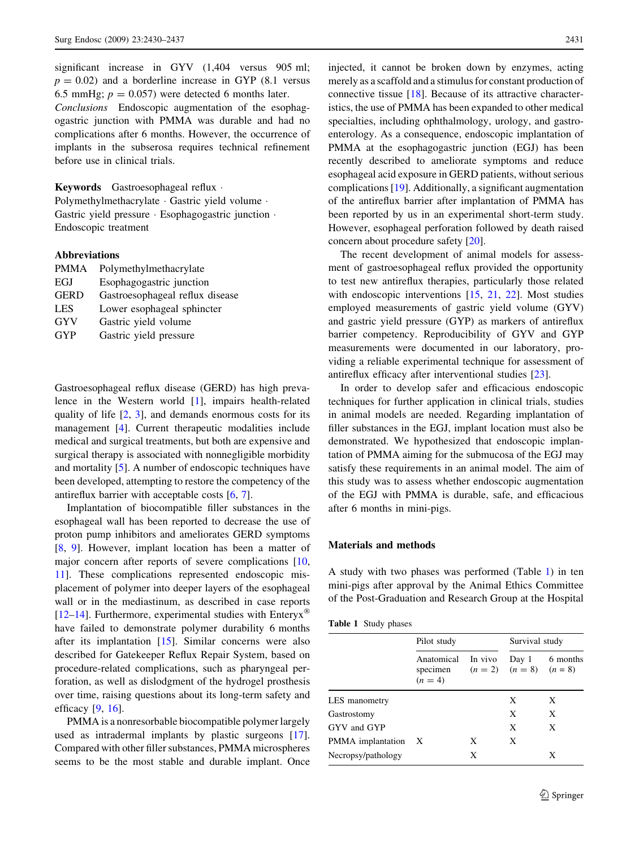significant increase in GYV (1,404 versus 905 ml;  $p = 0.02$ ) and a borderline increase in GYP (8.1 versus 6.5 mmHg;  $p = 0.057$ ) were detected 6 months later.

Conclusions Endoscopic augmentation of the esophagogastric junction with PMMA was durable and had no complications after 6 months. However, the occurrence of implants in the subserosa requires technical refinement before use in clinical trials.

Keywords Gastroesophageal reflux · Polymethylmethacrylate · Gastric yield volume · Gastric yield pressure · Esophagogastric junction · Endoscopic treatment

#### Abbreviations

| <b>PMMA</b> | Polymethylmethacrylate          |
|-------------|---------------------------------|
| EGJ         | Esophagogastric junction        |
| <b>GERD</b> | Gastroesophageal reflux disease |
| <b>LES</b>  | Lower esophageal sphincter      |
| GYV         | Gastric yield volume            |
| <b>GYP</b>  | Gastric yield pressure          |
|             |                                 |

Gastroesophageal reflux disease (GERD) has high prevalence in the Western world [\[1](#page-6-0)], impairs health-related quality of life  $[2, 3]$  $[2, 3]$  $[2, 3]$  $[2, 3]$ , and demands enormous costs for its management [[4\]](#page-7-0). Current therapeutic modalities include medical and surgical treatments, but both are expensive and surgical therapy is associated with nonnegligible morbidity and mortality [[5\]](#page-7-0). A number of endoscopic techniques have been developed, attempting to restore the competency of the antireflux barrier with acceptable costs [[6,](#page-7-0) [7](#page-7-0)].

Implantation of biocompatible filler substances in the esophageal wall has been reported to decrease the use of proton pump inhibitors and ameliorates GERD symptoms [\[8](#page-7-0), [9\]](#page-7-0). However, implant location has been a matter of major concern after reports of severe complications [[10,](#page-7-0) [11](#page-7-0)]. These complications represented endoscopic misplacement of polymer into deeper layers of the esophageal wall or in the mediastinum, as described in case reports [\[12–14](#page-7-0)]. Furthermore, experimental studies with Enteryx<sup>®</sup> have failed to demonstrate polymer durability 6 months after its implantation [[15\]](#page-7-0). Similar concerns were also described for Gatekeeper Reflux Repair System, based on procedure-related complications, such as pharyngeal perforation, as well as dislodgment of the hydrogel prosthesis over time, raising questions about its long-term safety and efficacy  $[9, 16]$  $[9, 16]$  $[9, 16]$  $[9, 16]$ .

PMMA is a nonresorbable biocompatible polymer largely used as intradermal implants by plastic surgeons [\[17](#page-7-0)]. Compared with other filler substances, PMMA microspheres seems to be the most stable and durable implant. Once

injected, it cannot be broken down by enzymes, acting merely as a scaffold and a stimulus for constant production of connective tissue [[18\]](#page-7-0). Because of its attractive characteristics, the use of PMMA has been expanded to other medical specialties, including ophthalmology, urology, and gastroenterology. As a consequence, endoscopic implantation of PMMA at the esophagogastric junction (EGJ) has been recently described to ameliorate symptoms and reduce esophageal acid exposure in GERD patients, without serious complications [\[19](#page-7-0)]. Additionally, a significant augmentation of the antireflux barrier after implantation of PMMA has been reported by us in an experimental short-term study. However, esophageal perforation followed by death raised concern about procedure safety [\[20](#page-7-0)].

The recent development of animal models for assessment of gastroesophageal reflux provided the opportunity to test new antireflux therapies, particularly those related with endoscopic interventions [[15,](#page-7-0) [21,](#page-7-0) [22](#page-7-0)]. Most studies employed measurements of gastric yield volume (GYV) and gastric yield pressure (GYP) as markers of antireflux barrier competency. Reproducibility of GYV and GYP measurements were documented in our laboratory, providing a reliable experimental technique for assessment of antireflux efficacy after interventional studies [\[23](#page-7-0)].

In order to develop safer and efficacious endoscopic techniques for further application in clinical trials, studies in animal models are needed. Regarding implantation of filler substances in the EGJ, implant location must also be demonstrated. We hypothesized that endoscopic implantation of PMMA aiming for the submucosa of the EGJ may satisfy these requirements in an animal model. The aim of this study was to assess whether endoscopic augmentation of the EGJ with PMMA is durable, safe, and efficacious after 6 months in mini-pigs.

#### Materials and methods

A study with two phases was performed (Table 1) in ten mini-pigs after approval by the Animal Ethics Committee of the Post-Graduation and Research Group at the Hospital

| Table 1 Study phases |  |  |
|----------------------|--|--|
|----------------------|--|--|

|                     | Pilot study                         |         | Survival study                         |          |
|---------------------|-------------------------------------|---------|----------------------------------------|----------|
|                     | Anatomical<br>specimen<br>$(n = 4)$ | In vivo | Day 1<br>$(n = 2)$ $(n = 8)$ $(n = 8)$ | 6 months |
| LES manometry       |                                     |         | X                                      | X        |
| Gastrostomy         |                                     |         | X                                      | X        |
| GYV and GYP         |                                     |         | X                                      | X        |
| PMMA implantation X |                                     | X       | X                                      |          |
| Necropsy/pathology  |                                     | X       |                                        | X        |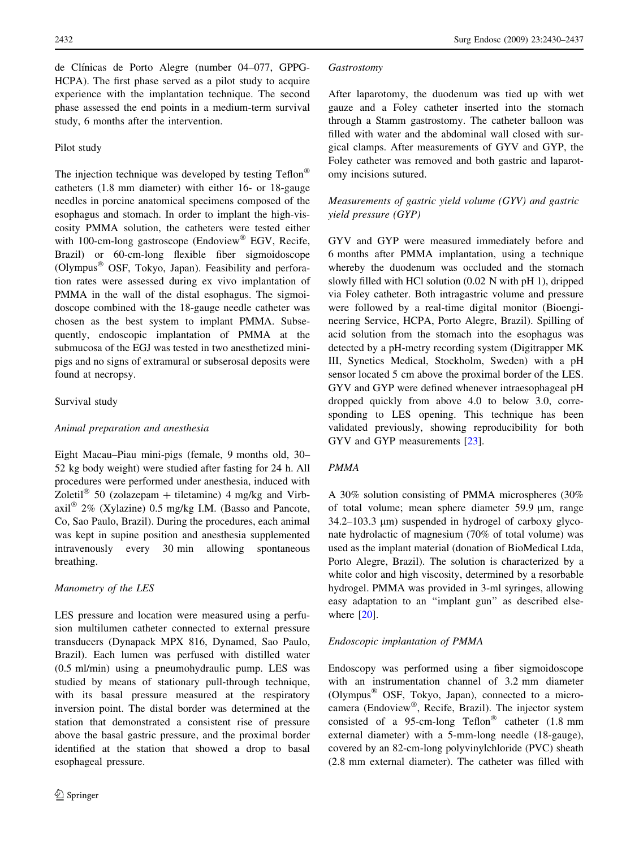de Clínicas de Porto Alegre (number 04–077, GPPG-HCPA). The first phase served as a pilot study to acquire experience with the implantation technique. The second phase assessed the end points in a medium-term survival study, 6 months after the intervention.

# Pilot study

The injection technique was developed by testing Teflon® catheters (1.8 mm diameter) with either 16- or 18-gauge needles in porcine anatomical specimens composed of the esophagus and stomach. In order to implant the high-viscosity PMMA solution, the catheters were tested either with 100-cm-long gastroscope (Endoview® EGV, Recife, Brazil) or 60-cm-long flexible fiber sigmoidoscope (Olympus<sup>®</sup> OSF, Tokyo, Japan). Feasibility and perforation rates were assessed during ex vivo implantation of PMMA in the wall of the distal esophagus. The sigmoidoscope combined with the 18-gauge needle catheter was chosen as the best system to implant PMMA. Subsequently, endoscopic implantation of PMMA at the submucosa of the EGJ was tested in two anesthetized minipigs and no signs of extramural or subserosal deposits were found at necropsy.

# Survival study

#### Animal preparation and anesthesia

Eight Macau–Piau mini-pigs (female, 9 months old, 30– 52 kg body weight) were studied after fasting for 24 h. All procedures were performed under anesthesia, induced with Zoletil<sup>®</sup> 50 (zolazepam + tiletamine) 4 mg/kg and Virbaxil<sup>®</sup> 2% (Xylazine) 0.5 mg/kg I.M. (Basso and Pancote, Co, Sao Paulo, Brazil). During the procedures, each animal was kept in supine position and anesthesia supplemented intravenously every 30 min allowing spontaneous breathing.

# Manometry of the LES

LES pressure and location were measured using a perfusion multilumen catheter connected to external pressure transducers (Dynapack MPX 816, Dynamed, Sao Paulo, Brazil). Each lumen was perfused with distilled water (0.5 ml/min) using a pneumohydraulic pump. LES was studied by means of stationary pull-through technique, with its basal pressure measured at the respiratory inversion point. The distal border was determined at the station that demonstrated a consistent rise of pressure above the basal gastric pressure, and the proximal border identified at the station that showed a drop to basal esophageal pressure.

#### Gastrostomy

After laparotomy, the duodenum was tied up with wet gauze and a Foley catheter inserted into the stomach through a Stamm gastrostomy. The catheter balloon was filled with water and the abdominal wall closed with surgical clamps. After measurements of GYV and GYP, the Foley catheter was removed and both gastric and laparotomy incisions sutured.

# Measurements of gastric yield volume (GYV) and gastric yield pressure (GYP)

GYV and GYP were measured immediately before and 6 months after PMMA implantation, using a technique whereby the duodenum was occluded and the stomach slowly filled with HCl solution (0.02 N with pH 1), dripped via Foley catheter. Both intragastric volume and pressure were followed by a real-time digital monitor (Bioengineering Service, HCPA, Porto Alegre, Brazil). Spilling of acid solution from the stomach into the esophagus was detected by a pH-metry recording system (Digitrapper MK III, Synetics Medical, Stockholm, Sweden) with a pH sensor located 5 cm above the proximal border of the LES. GYV and GYP were defined whenever intraesophageal pH dropped quickly from above 4.0 to below 3.0, corresponding to LES opening. This technique has been validated previously, showing reproducibility for both GYV and GYP measurements [[23\]](#page-7-0).

# PMMA

A 30% solution consisting of PMMA microspheres (30% of total volume; mean sphere diameter  $59.9 \mu m$ , range  $34.2-103.3 \mu m$ ) suspended in hydrogel of carboxy glyconate hydrolactic of magnesium (70% of total volume) was used as the implant material (donation of BioMedical Ltda, Porto Alegre, Brazil). The solution is characterized by a white color and high viscosity, determined by a resorbable hydrogel. PMMA was provided in 3-ml syringes, allowing easy adaptation to an ''implant gun'' as described else-where [\[20](#page-7-0)].

#### Endoscopic implantation of PMMA

Endoscopy was performed using a fiber sigmoidoscope with an instrumentation channel of 3.2 mm diameter (Olympus- OSF, Tokyo, Japan), connected to a microcamera (Endoview®, Recife, Brazil). The injector system consisted of a 95-cm-long Teflon® catheter  $(1.8 \text{ mm})$ external diameter) with a 5-mm-long needle (18-gauge), covered by an 82-cm-long polyvinylchloride (PVC) sheath (2.8 mm external diameter). The catheter was filled with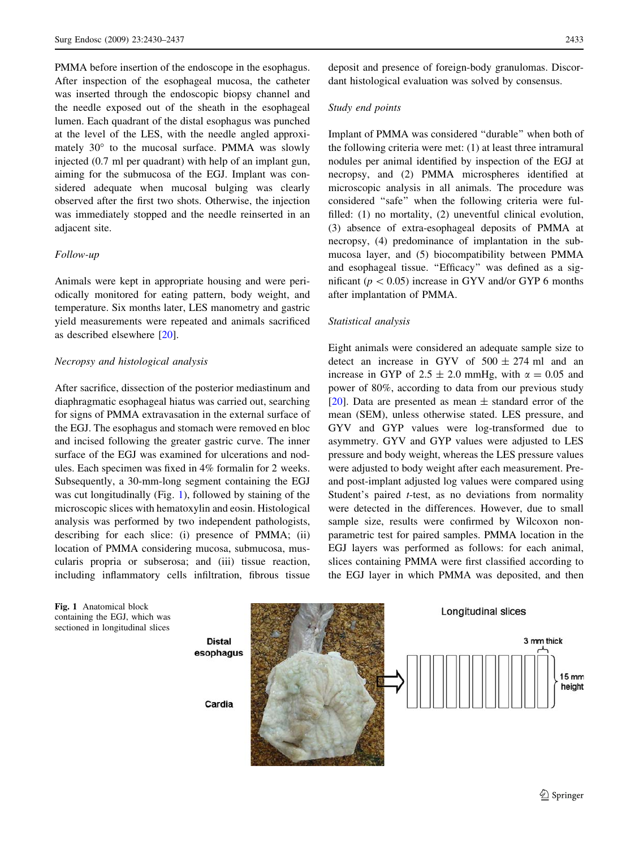PMMA before insertion of the endoscope in the esophagus. After inspection of the esophageal mucosa, the catheter was inserted through the endoscopic biopsy channel and the needle exposed out of the sheath in the esophageal lumen. Each quadrant of the distal esophagus was punched at the level of the LES, with the needle angled approximately  $30^{\circ}$  to the mucosal surface. PMMA was slowly injected (0.7 ml per quadrant) with help of an implant gun, aiming for the submucosa of the EGJ. Implant was considered adequate when mucosal bulging was clearly observed after the first two shots. Otherwise, the injection was immediately stopped and the needle reinserted in an adjacent site.

#### Follow-up

Animals were kept in appropriate housing and were periodically monitored for eating pattern, body weight, and temperature. Six months later, LES manometry and gastric yield measurements were repeated and animals sacrificed as described elsewhere [\[20](#page-7-0)].

## Necropsy and histological analysis

After sacrifice, dissection of the posterior mediastinum and diaphragmatic esophageal hiatus was carried out, searching for signs of PMMA extravasation in the external surface of the EGJ. The esophagus and stomach were removed en bloc and incised following the greater gastric curve. The inner surface of the EGJ was examined for ulcerations and nodules. Each specimen was fixed in 4% formalin for 2 weeks. Subsequently, a 30-mm-long segment containing the EGJ was cut longitudinally (Fig. 1), followed by staining of the microscopic slices with hematoxylin and eosin. Histological analysis was performed by two independent pathologists, describing for each slice: (i) presence of PMMA; (ii) location of PMMA considering mucosa, submucosa, muscularis propria or subserosa; and (iii) tissue reaction, including inflammatory cells infiltration, fibrous tissue

deposit and presence of foreign-body granulomas. Discordant histological evaluation was solved by consensus.

#### Study end points

Implant of PMMA was considered ''durable'' when both of the following criteria were met: (1) at least three intramural nodules per animal identified by inspection of the EGJ at necropsy, and (2) PMMA microspheres identified at microscopic analysis in all animals. The procedure was considered ''safe'' when the following criteria were fulfilled: (1) no mortality, (2) uneventful clinical evolution, (3) absence of extra-esophageal deposits of PMMA at necropsy, (4) predominance of implantation in the submucosa layer, and (5) biocompatibility between PMMA and esophageal tissue. "Efficacy" was defined as a significant ( $p < 0.05$ ) increase in GYV and/or GYP 6 months after implantation of PMMA.

#### Statistical analysis

Eight animals were considered an adequate sample size to detect an increase in GYV of  $500 \pm 274$  ml and an increase in GYP of 2.5  $\pm$  2.0 mmHg, with  $\alpha$  = 0.05 and power of 80%, according to data from our previous study [\[20](#page-7-0)]. Data are presented as mean  $\pm$  standard error of the mean (SEM), unless otherwise stated. LES pressure, and GYV and GYP values were log-transformed due to asymmetry. GYV and GYP values were adjusted to LES pressure and body weight, whereas the LES pressure values were adjusted to body weight after each measurement. Preand post-implant adjusted log values were compared using Student's paired *t*-test, as no deviations from normality were detected in the differences. However, due to small sample size, results were confirmed by Wilcoxon nonparametric test for paired samples. PMMA location in the EGJ layers was performed as follows: for each animal, slices containing PMMA were first classified according to the EGJ layer in which PMMA was deposited, and then

Fig. 1 Anatomical block containing the EGJ, which was sectioned in longitudinal slices

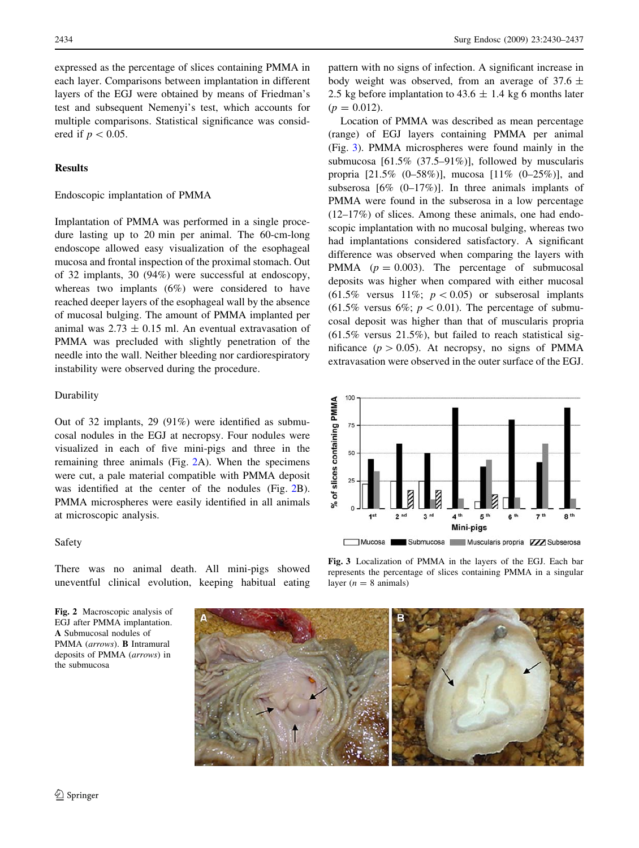expressed as the percentage of slices containing PMMA in each layer. Comparisons between implantation in different layers of the EGJ were obtained by means of Friedman's test and subsequent Nemenyi's test, which accounts for multiple comparisons. Statistical significance was considered if  $p < 0.05$ .

## Results

#### Endoscopic implantation of PMMA

Implantation of PMMA was performed in a single procedure lasting up to 20 min per animal. The 60-cm-long endoscope allowed easy visualization of the esophageal mucosa and frontal inspection of the proximal stomach. Out of 32 implants, 30 (94%) were successful at endoscopy, whereas two implants (6%) were considered to have reached deeper layers of the esophageal wall by the absence of mucosal bulging. The amount of PMMA implanted per animal was  $2.73 \pm 0.15$  ml. An eventual extravasation of PMMA was precluded with slightly penetration of the needle into the wall. Neither bleeding nor cardiorespiratory instability were observed during the procedure.

#### Durability

Out of 32 implants, 29 (91%) were identified as submucosal nodules in the EGJ at necropsy. Four nodules were visualized in each of five mini-pigs and three in the remaining three animals (Fig. 2A). When the specimens were cut, a pale material compatible with PMMA deposit was identified at the center of the nodules (Fig. 2B). PMMA microspheres were easily identified in all animals at microscopic analysis.

#### Safety

There was no animal death. All mini-pigs showed uneventful clinical evolution, keeping habitual eating

Fig. 2 Macroscopic analysis of EGJ after PMMA implantation. A Submucosal nodules of PMMA (arrows). B Intramural deposits of PMMA (arrows) in the submucosa

pattern with no signs of infection. A significant increase in body weight was observed, from an average of 37.6  $\pm$ 2.5 kg before implantation to  $43.6 \pm 1.4$  kg 6 months later  $(p = 0.012)$ .

Location of PMMA was described as mean percentage (range) of EGJ layers containing PMMA per animal (Fig. 3). PMMA microspheres were found mainly in the submucosa [61.5% (37.5–91%)], followed by muscularis propria [21.5% (0–58%)], mucosa [11% (0–25%)], and subserosa  $[6\% (0-17\%)]$ . In three animals implants of PMMA were found in the subserosa in a low percentage (12–17%) of slices. Among these animals, one had endoscopic implantation with no mucosal bulging, whereas two had implantations considered satisfactory. A significant difference was observed when comparing the layers with PMMA  $(p = 0.003)$ . The percentage of submucosal deposits was higher when compared with either mucosal (61.5% versus 11%;  $p < 0.05$ ) or subserosal implants  $(61.5\%$  versus 6%;  $p < 0.01$ ). The percentage of submucosal deposit was higher than that of muscularis propria  $(61.5\%$  versus  $21.5\%)$ , but failed to reach statistical significance ( $p > 0.05$ ). At necropsy, no signs of PMMA extravasation were observed in the outer surface of the EGJ.



Fig. 3 Localization of PMMA in the layers of the EGJ. Each bar represents the percentage of slices containing PMMA in a singular layer ( $n = 8$  animals)

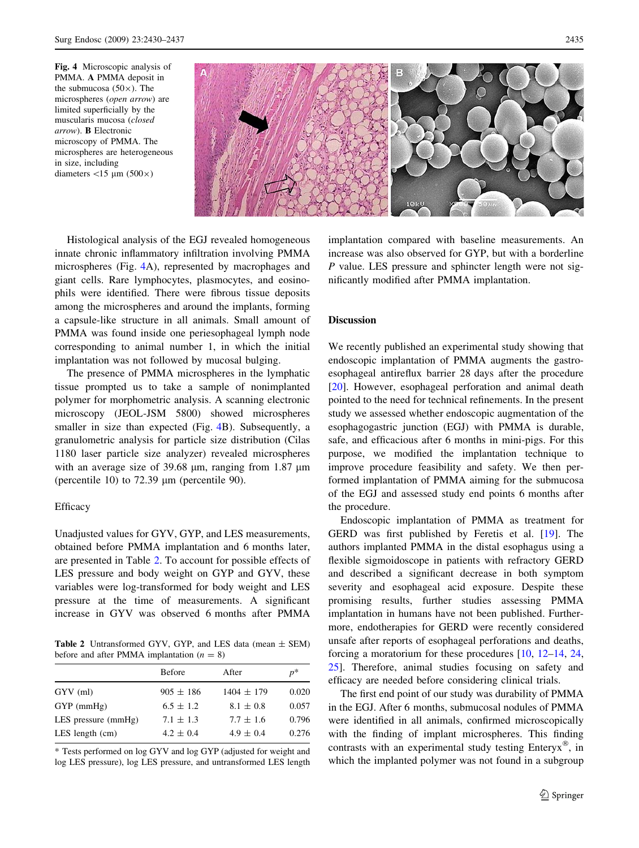Fig. 4 Microscopic analysis of PMMA. A PMMA deposit in the submucosa  $(50\times)$ . The microspheres (open arrow) are limited superficially by the muscularis mucosa (closed arrow). B Electronic microscopy of PMMA. The microspheres are heterogeneous in size, including diameters  $\langle 15 \mu m (500 \times)$ 



Histological analysis of the EGJ revealed homogeneous innate chronic inflammatory infiltration involving PMMA microspheres (Fig. 4A), represented by macrophages and giant cells. Rare lymphocytes, plasmocytes, and eosinophils were identified. There were fibrous tissue deposits among the microspheres and around the implants, forming a capsule-like structure in all animals. Small amount of PMMA was found inside one periesophageal lymph node corresponding to animal number 1, in which the initial implantation was not followed by mucosal bulging.

The presence of PMMA microspheres in the lymphatic tissue prompted us to take a sample of nonimplanted polymer for morphometric analysis. A scanning electronic microscopy (JEOL-JSM 5800) showed microspheres smaller in size than expected (Fig. 4B). Subsequently, a granulometric analysis for particle size distribution (Cilas 1180 laser particle size analyzer) revealed microspheres with an average size of 39.68  $\mu$ m, ranging from 1.87  $\mu$ m (percentile 10) to  $72.39 \mu m$  (percentile 90).

## Efficacy

Unadjusted values for GYV, GYP, and LES measurements, obtained before PMMA implantation and 6 months later, are presented in Table 2. To account for possible effects of LES pressure and body weight on GYP and GYV, these variables were log-transformed for body weight and LES pressure at the time of measurements. A significant increase in GYV was observed 6 months after PMMA

**Table 2** Untransformed GYV, GYP, and LES data (mean  $\pm$  SEM) before and after PMMA implantation  $(n = 8)$ 

|                       | <b>Before</b> | After          | $p^*$ |
|-----------------------|---------------|----------------|-------|
| GYV(ml)               | $905 \pm 186$ | $1404 \pm 179$ | 0.020 |
| $GYP$ (mmHg)          | $6.5 \pm 1.2$ | $8.1 \pm 0.8$  | 0.057 |
| LES pressure $(mmHg)$ | $7.1 \pm 1.3$ | $7.7 \pm 1.6$  | 0.796 |
| LES length $(cm)$     | $4.2 \pm 0.4$ | $4.9 \pm 0.4$  | 0.276 |
|                       |               |                |       |

\* Tests performed on log GYV and log GYP (adjusted for weight and log LES pressure), log LES pressure, and untransformed LES length implantation compared with baseline measurements. An increase was also observed for GYP, but with a borderline P value. LES pressure and sphincter length were not significantly modified after PMMA implantation.

# Discussion

We recently published an experimental study showing that endoscopic implantation of PMMA augments the gastroesophageal antireflux barrier 28 days after the procedure [\[20](#page-7-0)]. However, esophageal perforation and animal death pointed to the need for technical refinements. In the present study we assessed whether endoscopic augmentation of the esophagogastric junction (EGJ) with PMMA is durable, safe, and efficacious after 6 months in mini-pigs. For this purpose, we modified the implantation technique to improve procedure feasibility and safety. We then performed implantation of PMMA aiming for the submucosa of the EGJ and assessed study end points 6 months after the procedure.

Endoscopic implantation of PMMA as treatment for GERD was first published by Feretis et al. [\[19](#page-7-0)]. The authors implanted PMMA in the distal esophagus using a flexible sigmoidoscope in patients with refractory GERD and described a significant decrease in both symptom severity and esophageal acid exposure. Despite these promising results, further studies assessing PMMA implantation in humans have not been published. Furthermore, endotherapies for GERD were recently considered unsafe after reports of esophageal perforations and deaths, forcing a moratorium for these procedures [\[10](#page-7-0), [12–14](#page-7-0), [24,](#page-7-0) [25](#page-7-0)]. Therefore, animal studies focusing on safety and efficacy are needed before considering clinical trials.

The first end point of our study was durability of PMMA in the EGJ. After 6 months, submucosal nodules of PMMA were identified in all animals, confirmed microscopically with the finding of implant microspheres. This finding contrasts with an experimental study testing Enteryx®, in which the implanted polymer was not found in a subgroup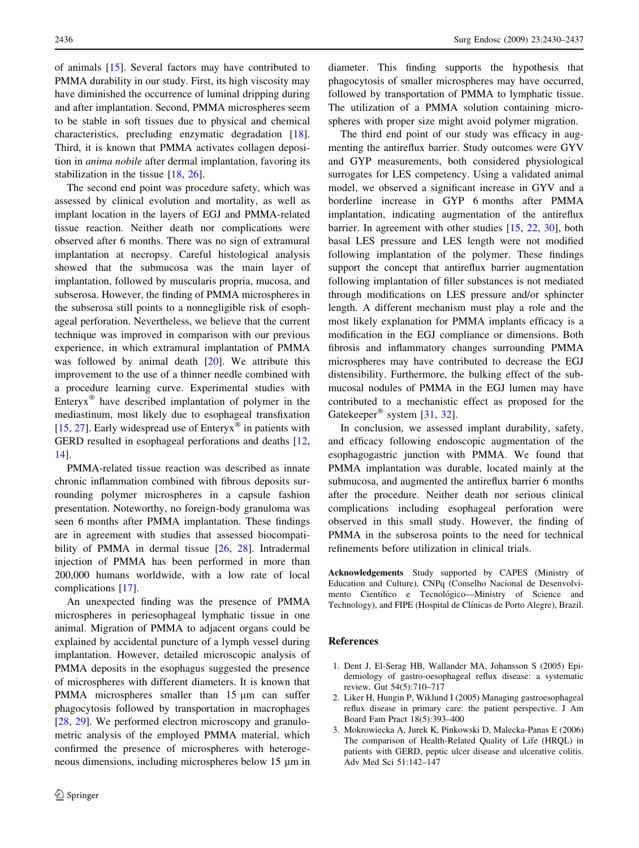<span id="page-6-0"></span>of animals [[15\]](#page-7-0). Several factors may have contributed to PMMA durability in our study. First, its high viscosity may have diminished the occurrence of luminal dripping during and after implantation. Second, PMMA microspheres seem to be stable in soft tissues due to physical and chemical characteristics, precluding enzymatic degradation [\[18](#page-7-0)]. Third, it is known that PMMA activates collagen deposition in anima nobile after dermal implantation, favoring its stabilization in the tissue [[18,](#page-7-0) [26](#page-7-0)].

The second end point was procedure safety, which was assessed by clinical evolution and mortality, as well as implant location in the layers of EGJ and PMMA-related tissue reaction. Neither death nor complications were observed after 6 months. There was no sign of extramural implantation at necropsy. Careful histological analysis showed that the submucosa was the main layer of implantation, followed by muscularis propria, mucosa, and subserosa. However, the finding of PMMA microspheres in the subserosa still points to a nonnegligible risk of esophageal perforation. Nevertheless, we believe that the current technique was improved in comparison with our previous experience, in which extramural implantation of PMMA was followed by animal death  $[20]$  $[20]$ . We attribute this improvement to the use of a thinner needle combined with a procedure learning curve. Experimental studies with Enteryx $^{\circledR}$  have described implantation of polymer in the mediastinum, most likely due to esophageal transfixation [\[15](#page-7-0), [27](#page-7-0)]. Early widespread use of Enteryx<sup>®</sup> in patients with GERD resulted in esophageal perforations and deaths [[12,](#page-7-0) [14](#page-7-0)].

PMMA-related tissue reaction was described as innate chronic inflammation combined with fibrous deposits surrounding polymer microspheres in a capsule fashion presentation. Noteworthy, no foreign-body granuloma was seen 6 months after PMMA implantation. These findings are in agreement with studies that assessed biocompati-bility of PMMA in dermal tissue [[26,](#page-7-0) [28](#page-7-0)]. Intradermal injection of PMMA has been performed in more than 200,000 humans worldwide, with a low rate of local complications [[17\]](#page-7-0).

An unexpected finding was the presence of PMMA microspheres in periesophageal lymphatic tissue in one animal. Migration of PMMA to adjacent organs could be explained by accidental puncture of a lymph vessel during implantation. However, detailed microscopic analysis of PMMA deposits in the esophagus suggested the presence of microspheres with different diameters. It is known that PMMA microspheres smaller than  $15 \mu m$  can suffer phagocytosis followed by transportation in macrophages [\[28](#page-7-0), [29](#page-7-0)]. We performed electron microscopy and granulometric analysis of the employed PMMA material, which confirmed the presence of microspheres with heterogeneous dimensions, including microspheres below 15 µm in diameter. This finding supports the hypothesis that phagocytosis of smaller microspheres may have occurred, followed by transportation of PMMA to lymphatic tissue. The utilization of a PMMA solution containing microspheres with proper size might avoid polymer migration.

The third end point of our study was efficacy in augmenting the antireflux barrier. Study outcomes were GYV and GYP measurements, both considered physiological surrogates for LES competency. Using a validated animal model, we observed a significant increase in GYV and a borderline increase in GYP 6 months after PMMA implantation, indicating augmentation of the antireflux barrier. In agreement with other studies [\[15](#page-7-0), [22](#page-7-0), [30](#page-7-0)], both basal LES pressure and LES length were not modified following implantation of the polymer. These findings support the concept that antireflux barrier augmentation following implantation of filler substances is not mediated through modifications on LES pressure and/or sphincter length. A different mechanism must play a role and the most likely explanation for PMMA implants efficacy is a modification in the EGJ compliance or dimensions. Both fibrosis and inflammatory changes surrounding PMMA microspheres may have contributed to decrease the EGJ distensibility. Furthermore, the bulking effect of the submucosal nodules of PMMA in the EGJ lumen may have contributed to a mechanistic effect as proposed for the Gatekeeper<sup>®</sup> system [\[31](#page-7-0), [32](#page-7-0)].

In conclusion, we assessed implant durability, safety, and efficacy following endoscopic augmentation of the esophagogastric junction with PMMA. We found that PMMA implantation was durable, located mainly at the submucosa, and augmented the antireflux barrier 6 months after the procedure. Neither death nor serious clinical complications including esophageal perforation were observed in this small study. However, the finding of PMMA in the subserosa points to the need for technical refinements before utilization in clinical trials.

Acknowledgements Study supported by CAPES (Ministry of Education and Culture), CNPq (Conselho Nacional de Desenvolvimento Científico e Tecnológico—Ministry of Science and Technology), and FIPE (Hospital de Clínicas de Porto Alegre), Brazil.

#### References

- 1. Dent J, El-Serag HB, Wallander MA, Johansson S (2005) Epidemiology of gastro-oesophageal reflux disease: a systematic review. Gut 54(5):710–717
- 2. Liker H, Hungin P, Wiklund I (2005) Managing gastroesophageal reflux disease in primary care: the patient perspective. J Am Board Fam Pract 18(5):393–400
- 3. Mokrowiecka A, Jurek K, Pinkowski D, Malecka-Panas E (2006) The comparison of Health-Related Quality of Life (HRQL) in patients with GERD, peptic ulcer disease and ulcerative colitis. Adv Med Sci 51:142–147